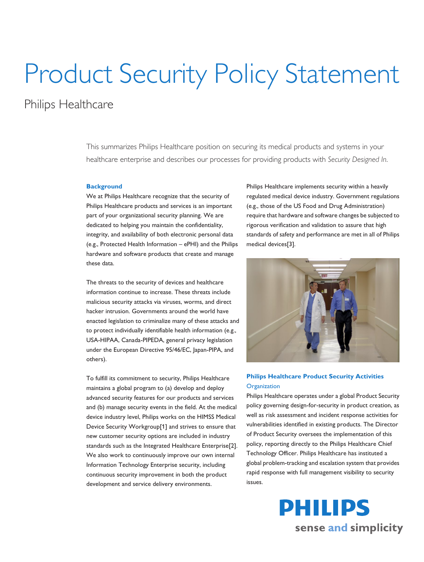# Product Security Policy Statement

## Philips Healthcare

This summarizes Philips Healthcare position on securing its medical products and systems in your healthcare enterprise and describes our processes for providing products with *Security Designed In*.

#### **Background**

We at Philips Healthcare recognize that the security of Philips Healthcare products and services is an important part of your organizational security planning. We are dedicated to helping you maintain the confidentiality, integrity, and availability of both electronic personal data (e.g., Protected Health Information – ePHI) and the Philips hardware and software products that create and manage these data.

The threats to the security of devices and healthcare information continue to increase. These threats include malicious security attacks via viruses, worms, and direct hacker intrusion. Governments around the world have enacted legislation to criminalize many of these attacks and to protect individually identifiable health information (e.g., USA-HIPAA, Canada-PIPEDA, general privacy legislation under the European Directive 95/46/EC, Japan-PIPA, and others).

To fulfill its commitment to security, Philips Healthcare maintains a global program to (a) develop and deploy advanced security features for our products and services and (b) manage security events in the field. At the medical device industry level, Philips works on the HIMSS Medical Device Security Workgroup[1] and strives to ensure that new customer security options are included in industry standards such as the Integrated Healthcare Enterprise[2]. We also work to continuously improve our own internal Information Technology Enterprise security, including continuous security improvement in both the product development and service delivery environments.

Philips Healthcare implements security within a heavily regulated medical device industry. Government regulations (e.g., those of the US Food and Drug Administration) require that hardware and software changes be subjected to rigorous verification and validation to assure that high standards of safety and performance are met in all of Philips medical devices[3].



### **Philips Healthcare Product Security Activities Organization**

Philips Healthcare operates under a global Product Security policy governing design-for-security in product creation, as well as risk assessment and incident response activities for vulnerabilities identified in existing products. The Director of Product Security oversees the implementation of this policy, reporting directly to the Philips Healthcare Chief Technology Officer. Philips Healthcare has instituted a global problem-tracking and escalation system that provides rapid response with full management visibility to security issues.

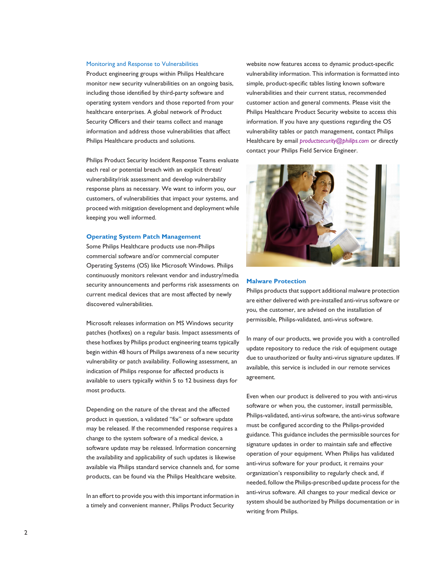#### Monitoring and Response to Vulnerabilities

Product engineering groups within Philips Healthcare monitor new security vulnerabilities on an ongoing basis, including those identified by third-party software and operating system vendors and those reported from your healthcare enterprises. A global network of Product Security Officers and their teams collect and manage information and address those vulnerabilities that affect Philips Healthcare products and solutions.

Philips Product Security Incident Response Teams evaluate each real or potential breach with an explicit threat/ vulnerability/risk assessment and develop vulnerability response plans as necessary. We want to inform you, our customers, of vulnerabilities that impact your systems, and proceed with mitigation development and deployment while keeping you well informed.

#### **Operating System Patch Management**

Some Philips Healthcare products use non-Philips commercial software and/or commercial computer Operating Systems (OS) like Microsoft Windows. Philips continuously monitors relevant vendor and industry/media security announcements and performs risk assessments on current medical devices that are most affected by newly discovered vulnerabilities.

Microsoft releases information on MS Windows security patches (hotfixes) on a regular basis. Impact assessments of these hotfixes by Philips product engineering teams typically begin within 48 hours of Philips awareness of a new security vulnerability or patch availability. Following assessment, an indication of Philips response for affected products is available to users typically within 5 to 12 business days for most products.

Depending on the nature of the threat and the affected product in question, a validated "fix" or software update may be released. If the recommended response requires a change to the system software of a medical device, a software update may be released. Information concerning the availability and applicability of such updates is likewise available via Philips standard service channels and, for some products, can be found via the Philips Healthcare website.

In an effort to provide you with this important information in a timely and convenient manner, Philips Product Security

website now features access to dynamic product-specific vulnerability information. This information is formatted into simple, product-specific tables listing known software vulnerabilities and their current status, recommended customer action and general comments. Please visit the Philips Healthcare Product Security website to access this information. If you have any questions regarding the OS vulnerability tables or patch management, contact Philips Healthcare by email *[productsecurity@philips.com](mailto:productsecurity@philips.com)* or directly contact your Philips Field Service Engineer.



#### **Malware Protection**

Philips products that support additional malware protection are either delivered with pre-installed anti-virus software or you, the customer, are advised on the installation of permissible, Philips-validated, anti-virus software.

In many of our products, we provide you with a controlled update repository to reduce the risk of equipment outage due to unauthorized or faulty anti-virus signature updates. If available, this service is included in our remote services agreement.

Even when our product is delivered to you with anti-virus software or when you, the customer, install permissible, Philips-validated, anti-virus software, the anti-virus software must be configured according to the Philips-provided guidance. This guidance includes the permissible sources for signature updates in order to maintain safe and effective operation of your equipment. When Philips has validated anti-virus software for your product, it remains your organization's responsibility to regularly check and, if needed, follow the Philips-prescribed update process for the anti-virus software. All changes to your medical device or system should be authorized by Philips documentation or in writing from Philips.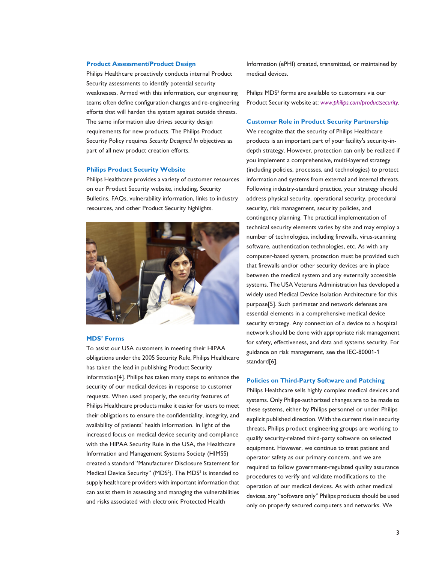#### **Product Assessment/Product Design**

Philips Healthcare proactively conducts internal Product Security assessments to identify potential security weaknesses. Armed with this information, our engineering teams often define configuration changes and re-engineering efforts that will harden the system against outside threats. The same information also drives security design requirements for new products. The Philips Product Security Policy requires *Security Designed In* objectives as part of all new product creation efforts.

#### **Philips Product Security Website**

Philips Healthcare provides a variety of customer resources on our Product Security website, including, Security Bulletins, FAQs, vulnerability information, links to industry resources, and other Product Security highlights.



#### **MDS<sup>2</sup> Forms**

To assist our USA customers in meeting their HIPAA obligations under the 2005 Security Rule, Philips Healthcare has taken the lead in publishing Product Security information[4]. Philips has taken many steps to enhance the security of our medical devices in response to customer requests. When used properly, the security features of Philips Healthcare products make it easier for users to meet their obligations to ensure the confidentiality, integrity, and availability of patients' health information. In light of the increased focus on medical device security and compliance with the HIPAA Security Rule in the USA, the Healthcare Information and Management Systems Society (HIMSS) created a standard "Manufacturer Disclosure Statement for Medical Device Security" (MDS<sup>2</sup>). The MDS<sup>2</sup> is intended to supply healthcare providers with important information that can assist them in assessing and managing the vulnerabilities and risks associated with electronic Protected Health

Information (ePHI) created, transmitted, or maintained by medical devices.

Philips MDS<sup>2</sup> forms are available to customers via our Product Security website at: *[www.philips.com/productsecurity](http://www.philips.com/productsecurity)*.

#### **Customer Role in Product Security Partnership**

We recognize that the security of Philips Healthcare products is an important part of your facility's security-indepth strategy. However, protection can only be realized if you implement a comprehensive, multi-layered strategy (including policies, processes, and technologies) to protect information and systems from external and internal threats. Following industry-standard practice, your strategy should address physical security, operational security, procedural security, risk management, security policies, and contingency planning. The practical implementation of technical security elements varies by site and may employ a number of technologies, including firewalls, virus-scanning software, authentication technologies, etc. As with any computer-based system, protection must be provided such that firewalls and/or other security devices are in place between the medical system and any externally accessible systems. The USA Veterans Administration has developed a widely used Medical Device Isolation Architecture for this purpose[5]. Such perimeter and network defenses are essential elements in a comprehensive medical device security strategy. Any connection of a device to a hospital network should be done with appropriate risk management for safety, effectiveness, and data and systems security. For guidance on risk management, see the IEC-80001-1 standard[6].

#### **Policies on Third-Party Software and Patching**

Philips Healthcare sells highly complex medical devices and systems. Only Philips-authorized changes are to be made to these systems, either by Philips personnel or under Philips explicit published direction. With the current rise in security threats, Philips product engineering groups are working to qualify security-related third-party software on selected equipment. However, we continue to treat patient and operator safety as our primary concern, and we are required to follow government-regulated quality assurance procedures to verify and validate modifications to the operation of our medical devices. As with other medical devices, any "software only" Philips products should be used only on properly secured computers and networks. We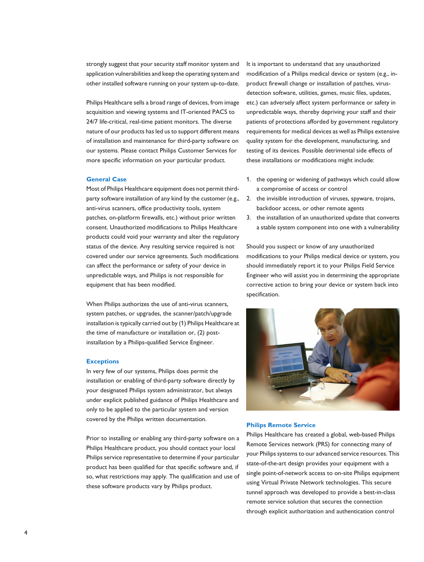strongly suggest that your security staff monitor system and application vulnerabilities and keep the operating system and other installed software running on your system up-to-date.

Philips Healthcare sells a broad range of devices, from image acquisition and viewing systems and IT-oriented PACS to 24/7 life-critical, real-time patient monitors. The diverse nature of our products has led us to support different means of installation and maintenance for third-party software on our systems. Please contact Philips Customer Services for more specific information on your particular product.

#### **General Case**

Most of Philips Healthcare equipment does not permit thirdparty software installation of any kind by the customer (e.g., anti-virus scanners, office productivity tools, system patches, on-platform firewalls, etc.) without prior written consent. Unauthorized modifications to Philips Healthcare products could void your warranty and alter the regulatory status of the device. Any resulting service required is not covered under our service agreements. Such modifications can affect the performance or safety of your device in unpredictable ways, and Philips is not responsible for equipment that has been modified.

When Philips authorizes the use of anti-virus scanners, system patches, or upgrades, the scanner/patch/upgrade installation is typically carried out by (1) Philips Healthcare at the time of manufacture or installation or, (2) postinstallation by a Philips-qualified Service Engineer.

#### **Exceptions**

In very few of our systems, Philips does permit the installation or enabling of third-party software directly by your designated Philips system administrator, but always under explicit published guidance of Philips Healthcare and only to be applied to the particular system and version covered by the Philips written documentation.

Prior to installing or enabling any third-party software on a Philips Healthcare product, you should contact your local Philips service representative to determine if your particular product has been qualified for that specific software and, if so, what restrictions may apply. The qualification and use of these software products vary by Philips product.

It is important to understand that any unauthorized modification of a Philips medical device or system (e.g., inproduct firewall change or installation of patches, virusdetection software, utilities, games, music files, updates, etc.) can adversely affect system performance or safety in unpredictable ways, thereby depriving your staff and their patients of protections afforded by government regulatory requirements for medical devices as well as Philips extensive quality system for the development, manufacturing, and testing of its devices. Possible detrimental side effects of these installations or modifications might include:

- 1. the opening or widening of pathways which could allow a compromise of access or control
- 2. the invisible introduction of viruses, spyware, trojans, backdoor access, or other remote agents
- 3. the installation of an unauthorized update that converts a stable system component into one with a vulnerability

Should you suspect or know of any unauthorized modifications to your Philips medical device or system, you should immediately report it to your Philips Field Service Engineer who will assist you in determining the appropriate corrective action to bring your device or system back into specification.



#### **Philips Remote Service**

Philips Healthcare has created a global, web-based Philips Remote Services network (PRS) for connecting many of your Philips systems to our advanced service resources. This state-of-the-art design provides your equipment with a single point-of-network access to on-site Philips equipment using Virtual Private Network technologies. This secure tunnel approach was developed to provide a best-in-class remote service solution that secures the connection through explicit authorization and authentication control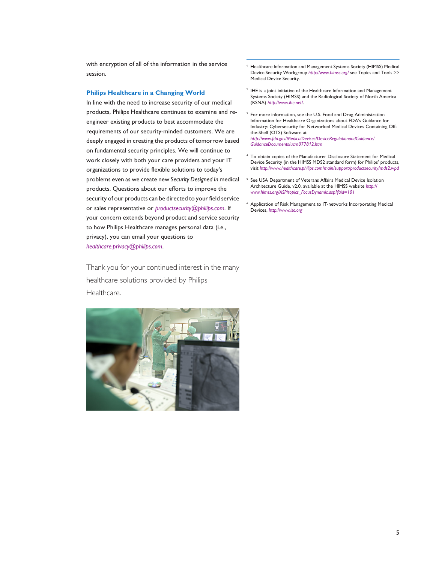with encryption of all of the information in the service session.

#### **Philips Healthcare in a Changing World**

In line with the need to increase security of our medical products, Philips Healthcare continues to examine and reengineer existing products to best accommodate the requirements of our security-minded customers. We are deeply engaged in creating the products of tomorrow based on fundamental security principles. We will continue to work closely with both your care providers and your IT organizations to provide flexible solutions to today's problems even as we create new *Security Designed In* medical products. Questions about our efforts to improve the security of our products can be directed to your field service or sales representative or *[productsecurity@philips.com](mailto:productsecurity@philips.com)*. If your concern extends beyond product and service security to how Philips Healthcare manages personal data (i.e., privacy), you can email your questions to *[healthcare.privacy@philips.com](mailto:healthcare.privacy@philips.com)*.

Thank you for your continued interest in the many healthcare solutions provided by Philips Healthcare.



- <sup>1</sup> Healthcare Information and Management Systems Society (HIMSS) Medical Device Security Workgroup *<http://www.himss.org/>* see Topics and Tools >> Medical Device Security.
- <sup>2</sup> IHE is a joint initiative of the Healthcare Information and Management Systems Society (HIMSS) and the Radiological Society of North America (RSNA) *<http://www.ihe.net/>*.
- <sup>3</sup> For more information, see the U.S. Food and Drug Administration Information for Healthcare Organizations about FDA's Guidance for Industry: Cybersecurity for Networked Medical Devices Containing Offthe-Shelf (OTS) Software at

*[http://www.fda.gov/MedicalDevices/DeviceRegulationandGuidance/](http://www.fda.gov/MedicalDevices/DeviceRegulationandGuidance/GuidanceDocuments/ucm077812.htm) [GuidanceDocuments/ucm077812.htm](http://www.fda.gov/MedicalDevices/DeviceRegulationandGuidance/GuidanceDocuments/ucm077812.htm)*

- To obtain copies of the Manufacturer Disclosure Statement for Medical Device Security (in the HIMSS MDS2 standard form) for Philips' products, visit *<http://www.healthcare.philips.com/main/support/productsecurity/mds2.wpd>*
- <sup>5</sup> See USA Department of Veterans Affairs Medical Device Isolation Architecture Guide, v2.0, available at the HIMSS website *[http://](http://www.himss.org/ASP/topics_FocusDynamic.asp?faid=101) [www.himss.org/ASP/topics\\_FocusDynamic.asp?faid=101](http://www.himss.org/ASP/topics_FocusDynamic.asp?faid=101)*
- <sup>6</sup> Application of Risk Management to IT-networks Incorporating Medical Devices, *<http://www.iso.org>*